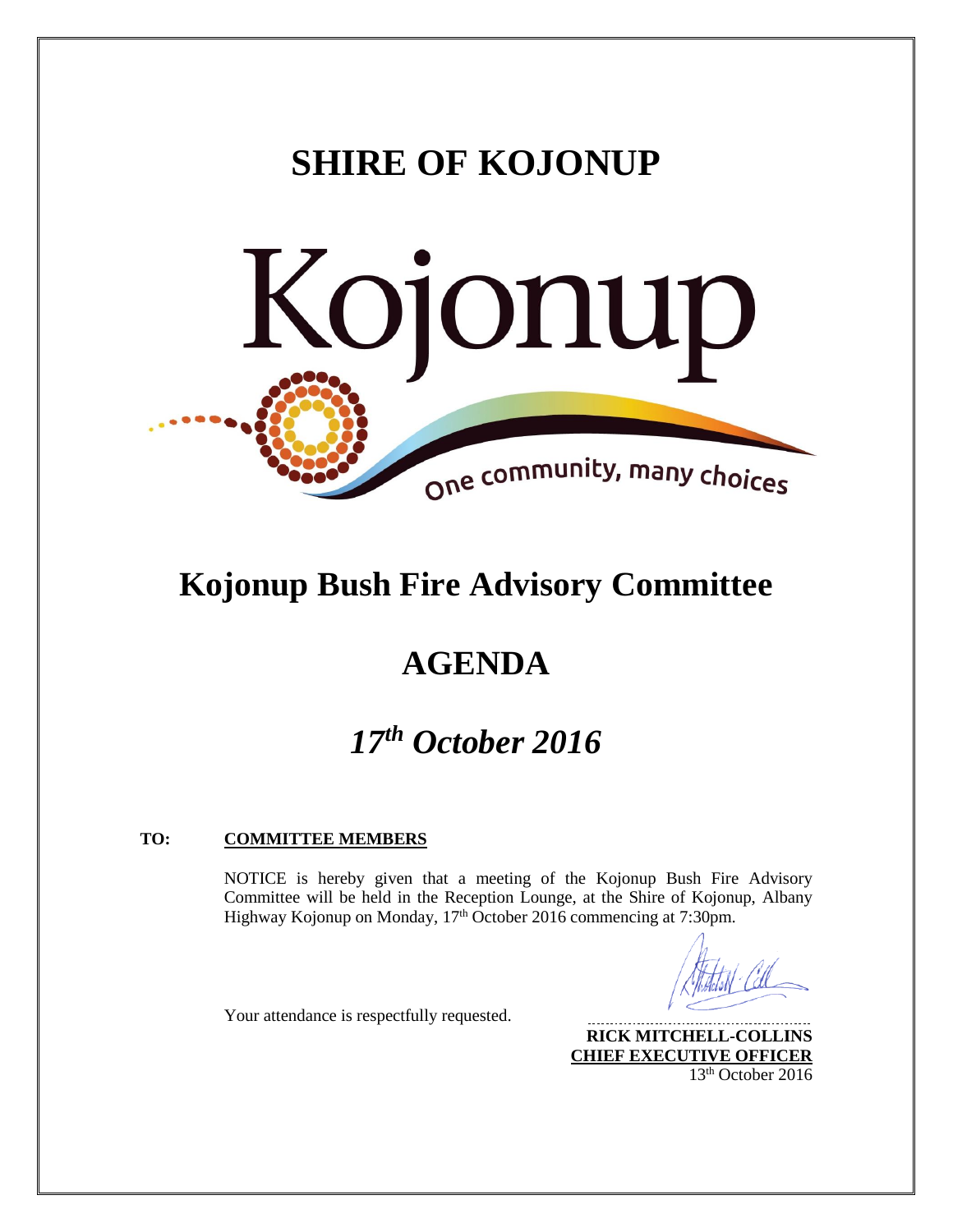# **SHIRE OF KOJONUP**



# **Kojonup Bush Fire Advisory Committee**

# **AGENDA**

# *17th October 2016*

# **TO: COMMITTEE MEMBERS**

Your attendance is respectfully requested.

NOTICE is hereby given that a meeting of the Kojonup Bush Fire Advisory Committee will be held in the Reception Lounge, at the Shire of Kojonup, Albany Highway Kojonup on Monday, 17<sup>th</sup> October 2016 commencing at 7:30pm.

**RICK MITCHELL-COLLINS CHIEF EXECUTIVE OFFICER** 13th October 2016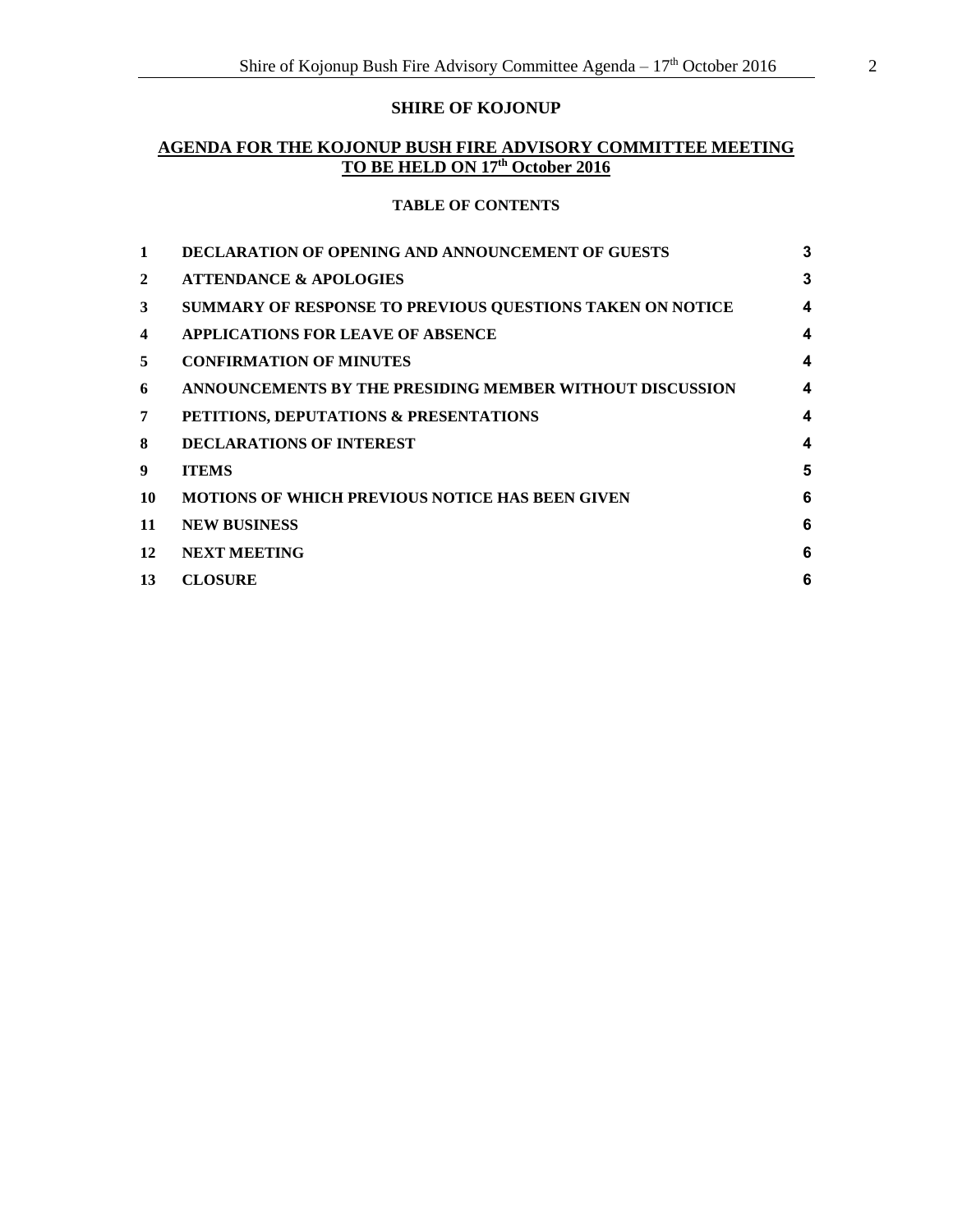# **SHIRE OF KOJONUP**

# **AGENDA FOR THE KOJONUP BUSH FIRE ADVISORY COMMITTEE MEETING TO BE HELD ON 17th October 2016**

#### **TABLE OF CONTENTS**

| $\mathbf{1}$            | <b>DECLARATION OF OPENING AND ANNOUNCEMENT OF GUESTS</b>  | 3 |
|-------------------------|-----------------------------------------------------------|---|
| $\overline{2}$          | <b>ATTENDANCE &amp; APOLOGIES</b>                         | 3 |
| 3                       | SUMMARY OF RESPONSE TO PREVIOUS QUESTIONS TAKEN ON NOTICE | 4 |
| $\overline{\mathbf{4}}$ | APPLICATIONS FOR LEAVE OF ABSENCE                         | 4 |
| 5                       | <b>CONFIRMATION OF MINUTES</b>                            | 4 |
| 6                       | ANNOUNCEMENTS BY THE PRESIDING MEMBER WITHOUT DISCUSSION  | 4 |
| 7                       | PETITIONS, DEPUTATIONS & PRESENTATIONS                    | 4 |
| 8                       | <b>DECLARATIONS OF INTEREST</b>                           | 4 |
| 9                       | <b>ITEMS</b>                                              | 5 |
| 10                      | <b>MOTIONS OF WHICH PREVIOUS NOTICE HAS BEEN GIVEN</b>    | 6 |
| 11                      | <b>NEW BUSINESS</b>                                       | 6 |
| 12                      | <b>NEXT MEETING</b>                                       | 6 |
| 13                      | <b>CLOSURE</b>                                            | 6 |
|                         |                                                           |   |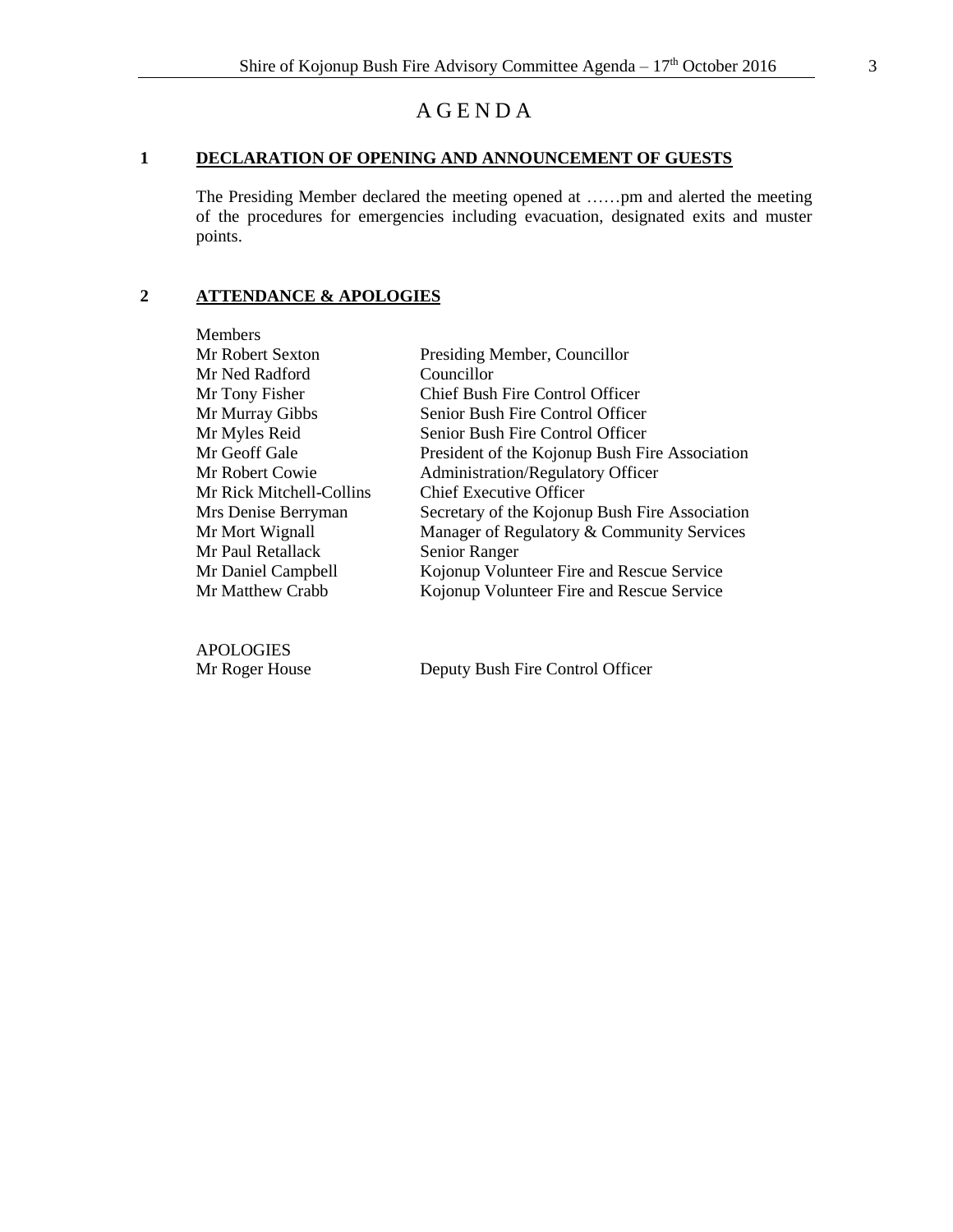# A G E N D A

# <span id="page-2-0"></span>**1 DECLARATION OF OPENING AND ANNOUNCEMENT OF GUESTS**

The Presiding Member declared the meeting opened at ……pm and alerted the meeting of the procedures for emergencies including evacuation, designated exits and muster points.

### <span id="page-2-1"></span>**2 ATTENDANCE & APOLOGIES**

| <b>Members</b>           |                                                |
|--------------------------|------------------------------------------------|
| Mr Robert Sexton         | Presiding Member, Councillor                   |
| Mr Ned Radford           | Councillor                                     |
| Mr Tony Fisher           | Chief Bush Fire Control Officer                |
| Mr Murray Gibbs          | Senior Bush Fire Control Officer               |
| Mr Myles Reid            | Senior Bush Fire Control Officer               |
| Mr Geoff Gale            | President of the Kojonup Bush Fire Association |
| Mr Robert Cowie          | <b>Administration/Regulatory Officer</b>       |
| Mr Rick Mitchell-Collins | <b>Chief Executive Officer</b>                 |
| Mrs Denise Berryman      | Secretary of the Kojonup Bush Fire Association |
| Mr Mort Wignall          | Manager of Regulatory & Community Services     |
| Mr Paul Retallack        | Senior Ranger                                  |
| Mr Daniel Campbell       | Kojonup Volunteer Fire and Rescue Service      |
| Mr Matthew Crabb         | Kojonup Volunteer Fire and Rescue Service      |
|                          |                                                |

APOLOGIES

Mr Roger House Deputy Bush Fire Control Officer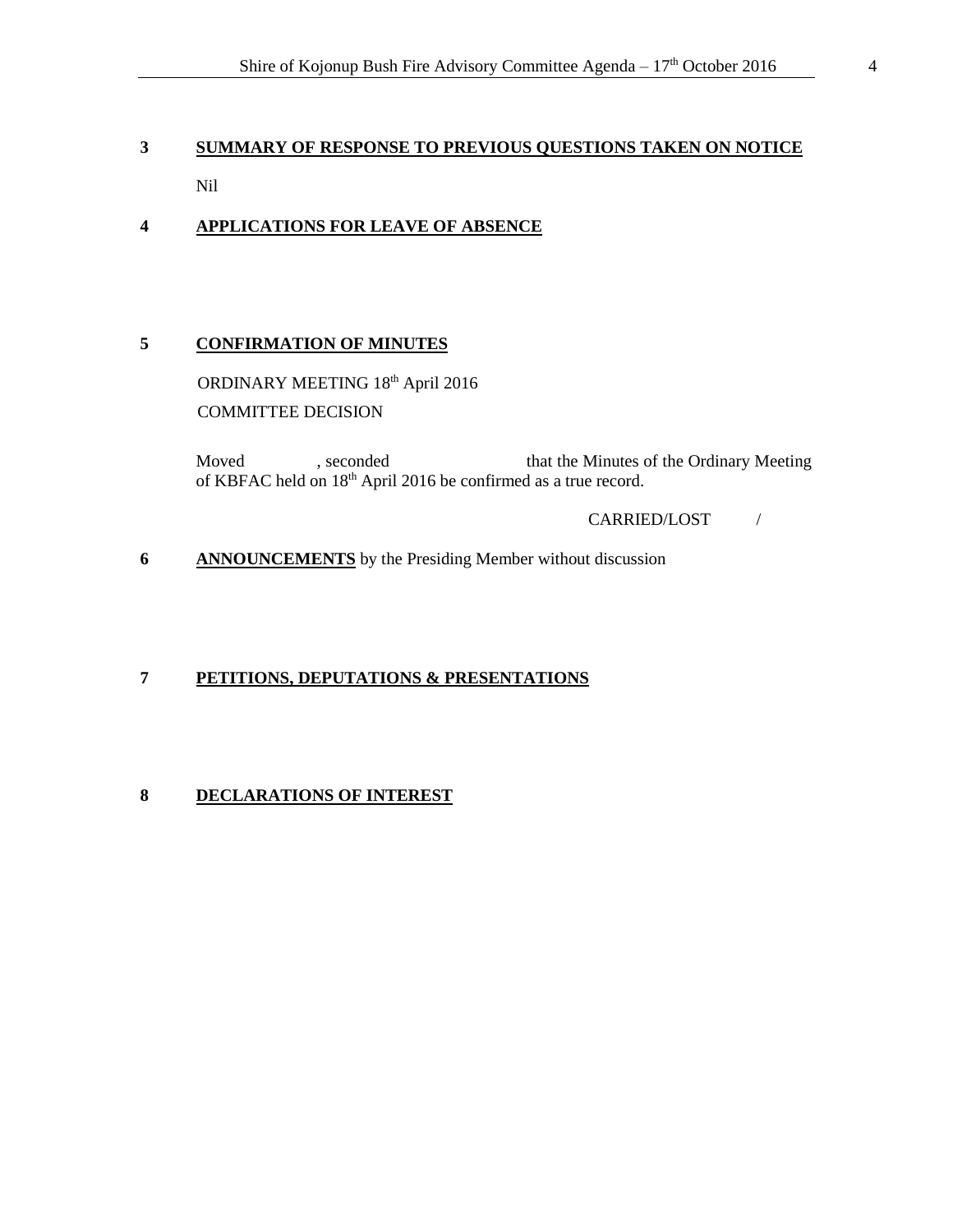# <span id="page-3-0"></span>**3 SUMMARY OF RESPONSE TO PREVIOUS QUESTIONS TAKEN ON NOTICE** Nil

# <span id="page-3-1"></span>**4 APPLICATIONS FOR LEAVE OF ABSENCE**

# <span id="page-3-2"></span>**5 CONFIRMATION OF MINUTES**

ORDINARY MEETING 18th April 2016 COMMITTEE DECISION

Moved , seconded that the Minutes of the Ordinary Meeting of KBFAC held on 18th April 2016 be confirmed as a true record.

#### CARRIED/LOST /

<span id="page-3-3"></span>**6 ANNOUNCEMENTS** by the Presiding Member without discussion

### <span id="page-3-4"></span>**7 PETITIONS, DEPUTATIONS & PRESENTATIONS**

# <span id="page-3-5"></span>**8 DECLARATIONS OF INTEREST**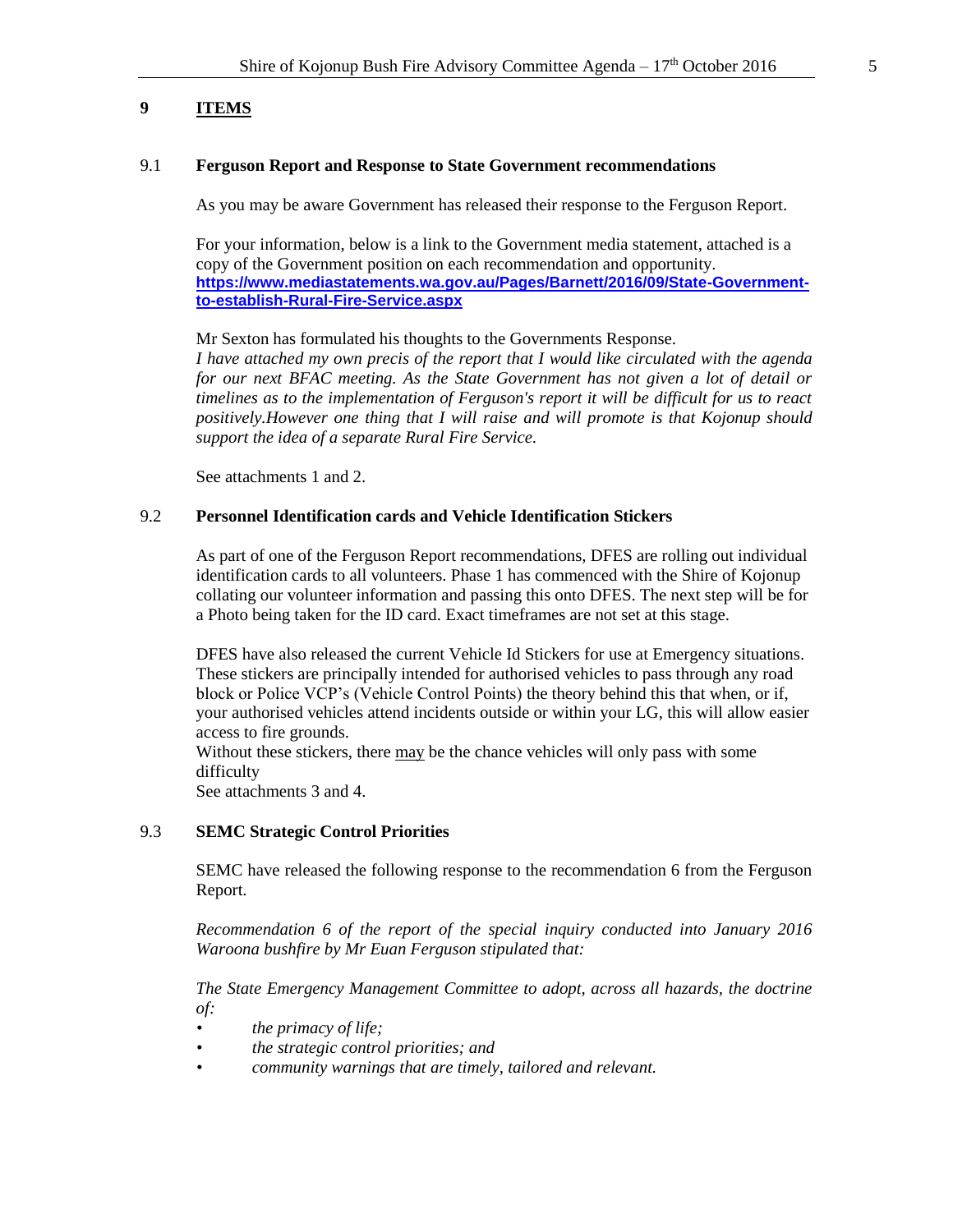# <span id="page-4-0"></span>**9 ITEMS**

#### 9.1 **Ferguson Report and Response to State Government recommendations**

As you may be aware Government has released their response to the Ferguson Report.

For your information, below is a link to the Government media statement, attached is a copy of the Government position on each recommendation and opportunity. **[https://www.mediastatements.wa.gov.au/Pages/Barnett/2016/09/State-Government](https://www.mediastatements.wa.gov.au/Pages/Barnett/2016/09/State-Government-to-establish-Rural-Fire-Service.aspx)[to-establish-Rural-Fire-Service.aspx](https://www.mediastatements.wa.gov.au/Pages/Barnett/2016/09/State-Government-to-establish-Rural-Fire-Service.aspx)**

Mr Sexton has formulated his thoughts to the Governments Response.

*I have attached my own precis of the report that I would like circulated with the agenda for our next BFAC meeting. As the State Government has not given a lot of detail or timelines as to the implementation of Ferguson's report it will be difficult for us to react positively.However one thing that I will raise and will promote is that Kojonup should support the idea of a separate Rural Fire Service.*

See attachments 1 and 2.

#### 9.2 **Personnel Identification cards and Vehicle Identification Stickers**

As part of one of the Ferguson Report recommendations, DFES are rolling out individual identification cards to all volunteers. Phase 1 has commenced with the Shire of Kojonup collating our volunteer information and passing this onto DFES. The next step will be for a Photo being taken for the ID card. Exact timeframes are not set at this stage.

DFES have also released the current Vehicle Id Stickers for use at Emergency situations. These stickers are principally intended for authorised vehicles to pass through any road block or Police VCP's (Vehicle Control Points) the theory behind this that when, or if, your authorised vehicles attend incidents outside or within your LG, this will allow easier access to fire grounds.

Without these stickers, there may be the chance vehicles will only pass with some difficulty

See attachments 3 and 4.

#### 9.3 **SEMC Strategic Control Priorities**

SEMC have released the following response to the recommendation 6 from the Ferguson Report.

*Recommendation 6 of the report of the special inquiry conducted into January 2016 Waroona bushfire by Mr Euan Ferguson stipulated that:* 

*The State Emergency Management Committee to adopt, across all hazards, the doctrine of:* 

- *• the primacy of life;*
- *• the strategic control priorities; and*
- *• community warnings that are timely, tailored and relevant.*